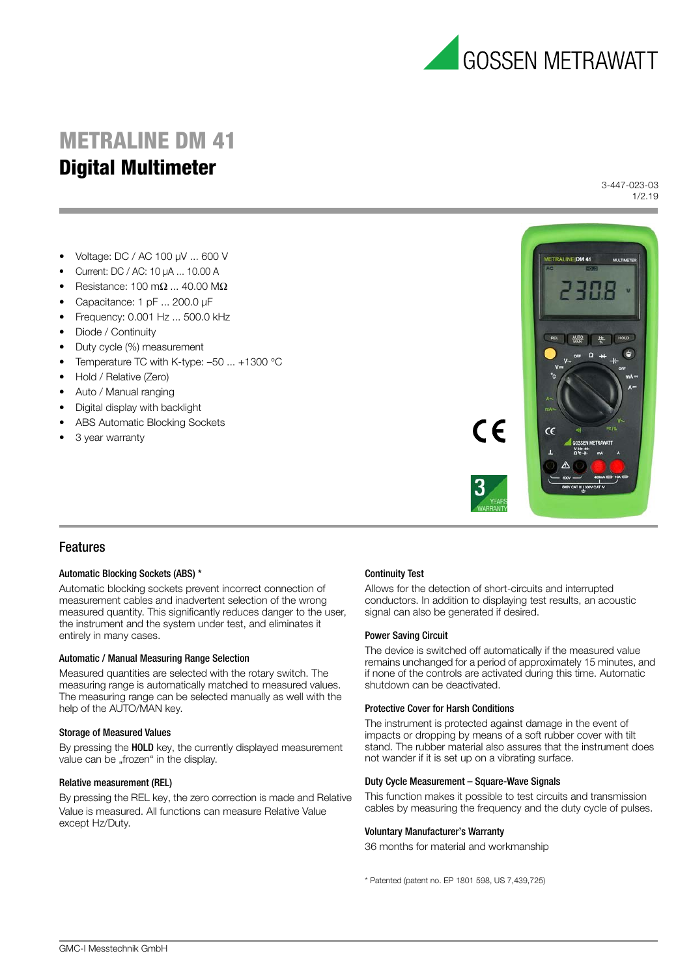

# **METRALINE DM 41 Multimeter Digital Multimeter**

3-447-023-03 1/2.19

- Voltage: DC / AC 100 μV ... 600 V
- Current: DC / AC: 10 μA ... 10.00 A
- Resistance:  $100 \text{ m}\Omega$  ...  $40.00 \text{ M}\Omega$
- Capacitance: 1 pF ... 200.0 μF
- Frequency: 0.001 Hz ... 500.0 kHz
- Diode / Continuity
- Duty cycle (%) measurement
- Temperature TC with K-type: –50 ... +1300 °C
- Hold / Relative (Zero)
- Auto / Manual ranging
- Digital display with backlight
- ABS Automatic Blocking Sockets
- 3 year warranty



## Features

## Automatic Blocking Sockets (ABS) \*

Automatic blocking sockets prevent incorrect connection of measurement cables and inadvertent selection of the wrong measured quantity. This significantly reduces danger to the user, the instrument and the system under test, and eliminates it entirely in many cases.

## Automatic / Manual Measuring Range Selection

Measured quantities are selected with the rotary switch. The measuring range is automatically matched to measured values. The measuring range can be selected manually as well with the help of the AUTO/MAN key.

## Storage of Measured Values

By pressing the **HOLD** key, the currently displayed measurement value can be "frozen" in the display.

## Relative measurement (REL)

By pressing the REL key, the zero correction is made and Relative Value is measured. All functions can measure Relative Value except Hz/Duty.

## Continuity Test

Allows for the detection of short-circuits and interrupted conductors. In addition to displaying test results, an acoustic signal can also be generated if desired.

## Power Saving Circuit

The device is switched off automatically if the measured value remains unchanged for a period of approximately 15 minutes, and if none of the controls are activated during this time. Automatic shutdown can be deactivated.

## Protective Cover for Harsh Conditions

The instrument is protected against damage in the event of impacts or dropping by means of a soft rubber cover with tilt stand. The rubber material also assures that the instrument does not wander if it is set up on a vibrating surface.

## Duty Cycle Measurement – Square-Wave Signals

This function makes it possible to test circuits and transmission cables by measuring the frequency and the duty cycle of pulses.

## Voluntary Manufacturer's Warranty

36 months for material and workmanship

\* Patented (patent no. EP 1801 598, US 7,439,725)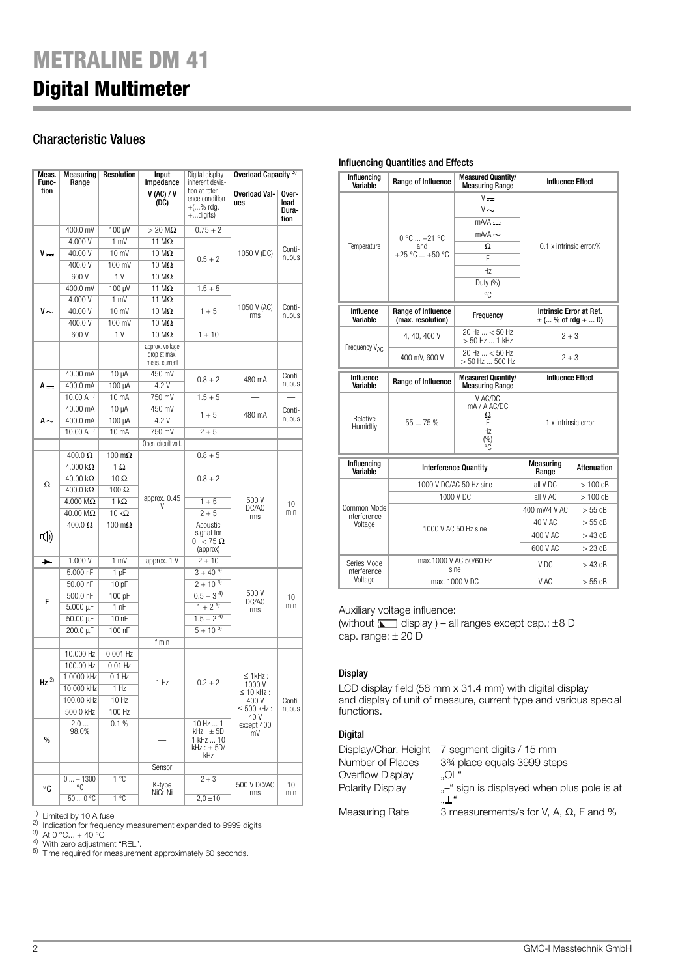# Characteristic Values

| Meas.                 | Measuring               | <b>Resolution</b>     | Input                         | Digital display                   | Overload Capacity <sup>3)</sup>        |                 |
|-----------------------|-------------------------|-----------------------|-------------------------------|-----------------------------------|----------------------------------------|-----------------|
| Func-<br>tion         | Range                   |                       | Impedance                     | inherent devia-<br>tion at refer- |                                        |                 |
|                       |                         |                       | V (AC) / V<br>(DC)            | ence condition                    | <b>Overload Val-</b><br>ues            | Over-<br>load   |
|                       |                         |                       |                               | $+$ (% rdq.<br>$+$ digits)        |                                        | Dura-<br>tion   |
|                       | 400.0 mV                | 100 µV                | $>$ 20 M $\Omega$             | $0.75 + 2$                        |                                        |                 |
|                       | 4.000 V                 | 1 mV                  | 11 $M\Omega$                  |                                   |                                        |                 |
| V —                   | 40.00 V                 | 10 mV                 | 10 MΩ                         |                                   | 1050 V (DC)                            | Conti-          |
|                       | 400.0V                  | 100 mV                | 10 MΩ                         | $0.5 + 2$                         |                                        | nuous           |
|                       | 600V                    | 1 <sub>V</sub>        | 10 MΩ                         |                                   |                                        |                 |
|                       | 400.0 mV                | 100 µV                | 11 $M\Omega$                  | $1.5 + 5$                         |                                        |                 |
|                       | 4.000 V                 | 1 mV                  | 11 MΩ                         |                                   |                                        |                 |
| $V \sim$              | 40.00 V                 | 10 mV                 | $10 \text{ M}\Omega$          | $1 + 5$                           | 1050 V (AC)<br>rms                     | Conti-<br>nuous |
|                       | 400.0V                  | 100 mV                | $10 \text{ M}\Omega$          |                                   |                                        |                 |
|                       | 600V                    | 1 <sub>V</sub>        | 10 MΩ                         | $1 + 10$                          |                                        |                 |
|                       |                         |                       | approx. voltage               |                                   |                                        |                 |
|                       |                         |                       | drop at max.<br>meas. current |                                   |                                        |                 |
|                       | 40.00 mA                | 10 µA                 | 450 mV                        |                                   |                                        |                 |
| A                     | 400.0 mA                | 100 µA                | 4.2 V                         | $0.8 + 2$                         | 480 mA                                 | Conti-<br>nuous |
|                       | 10.00 A $^{1}$          | 10 mA                 | 750 mV                        | $1.5 + 5$                         |                                        |                 |
|                       | 40.00 mA                | 10 µA                 | 450 mV                        |                                   |                                        | Conti-          |
| A $\sim$              | 400.0 mA                | 100 µA                | 4.2 V                         | $1 + 5$                           | 480 mA                                 | nuous           |
|                       | 10.00 A $^{1}$          | 10 mA                 | 750 mV                        | $2 + 5$                           |                                        |                 |
|                       |                         |                       | Open-circuit volt.            |                                   |                                        |                 |
|                       | $400.0 \Omega$          | $100 \text{ m}\Omega$ |                               | $0.8 + 5$                         |                                        |                 |
|                       | $4.000 \text{ k}\Omega$ | $1 \Omega$            |                               |                                   |                                        |                 |
|                       | $40.00 \text{ k}\Omega$ | $10 \Omega$           |                               | $0.8 + 2$                         |                                        |                 |
| Ω                     | $400.0 k\Omega$         | $100 \Omega$          |                               |                                   |                                        |                 |
|                       | $4.000 \text{ M}\Omega$ | $1 k\Omega$           | approx. 0.45<br>V             | $1 + 5$                           | 500 V                                  | 10              |
|                       | 40.00 MΩ                | $10 k\Omega$          |                               | $2 + 5$                           | DC/AC<br>rms                           | min             |
|                       | $400.0 \Omega$          | $100 \text{ m}\Omega$ |                               | Acoustic                          |                                        |                 |
| [1                    |                         |                       |                               | signal for<br>$0$ < 75 $\Omega$   |                                        |                 |
|                       |                         |                       |                               | (approx)                          |                                        |                 |
| $\blacktriangleright$ | 1.000 V                 | 1 mV                  | approx. 1 V                   | $2 + 10$                          |                                        |                 |
|                       | 5.000 nF                | 1 pF                  |                               | $3 + 40^{4}$                      |                                        |                 |
|                       | 50.00 nF                | 10 pF                 |                               | $2 + 10^{4}$                      |                                        |                 |
| F                     | 500.0 nF                | 100 pF                |                               | $0.5 + 3^{4}$                     | 500 V<br>DC/AC                         | 10              |
|                       | 5.000 µF                | 1 <sub>nF</sub>       |                               | $1 + 2^{4}$                       | rms                                    | min             |
|                       | 50.00 µF                | $100$ nF              |                               | $1.5 + 2^{4}$                     |                                        |                 |
|                       | 200.0 µF                | 100 nF                |                               | $5 + 10^{5}$                      |                                        |                 |
|                       |                         |                       | f min                         |                                   |                                        |                 |
|                       | 10.000 Hz               | 0.001 Hz              |                               |                                   |                                        | Conti-<br>nuous |
|                       | 100.00 Hz               | $0.01$ Hz             | 1 Hz                          |                                   |                                        |                 |
| $Hz$ <sup>2)</sup>    | 1.0000 kHz              | $0.1$ Hz              |                               | $0.2 + 2$                         | $\leq$ 1 kHz :<br>1000V                |                 |
|                       | 10.000 kHz              | 1 Hz                  |                               |                                   | $\leq 10$ kHz:<br>400 V<br>≤ 500 kHz : |                 |
|                       | 100.00 kHz              | 10 Hz                 |                               |                                   |                                        |                 |
|                       | 500.0 kHz               | 100 Hz                |                               |                                   | 40 V                                   |                 |
|                       | 2.0<br>98.0%            | 0.1%                  |                               | 10 Hz  1<br>$kHz : \pm 5D$        | except 400<br>mV                       |                 |
| %                     |                         |                       |                               | 1 kHz  10                         |                                        |                 |
|                       |                         |                       |                               | $kHz : \pm 5D/$<br><b>KHz</b>     |                                        |                 |
|                       |                         |                       | Sensor                        |                                   |                                        |                 |
|                       | $0 + 1300$              | 1°C                   |                               | $2 + 3$                           |                                        |                 |
| °C                    | ∘c                      |                       | K-type<br>NiCr-Ni             |                                   | 500 V DC/AC<br>rms                     | 10<br>min       |
|                       | $-500$ °C               | 1°C                   |                               | $2,0 \pm 10$                      |                                        |                 |

<sup>1)</sup> Limited by 10 A fuse<br><sup>2)</sup> Indication for frequency measurement expanded to 9999 digits<br><sup>3)</sup> At 0 °C... + 40 °C<br><sup>4)</sup> With zero adjustment "REL".<br><sup>5)</sup> Time required for measurement approximately 60 seconds.

## Influencing Quantities and Effects

| Influencing<br>Variable                | Range of Influence                                   | <b>Measured Quantity/</b><br><b>Measuring Range</b>  |                         | <b>Influence Effect</b>                           |  |  |
|----------------------------------------|------------------------------------------------------|------------------------------------------------------|-------------------------|---------------------------------------------------|--|--|
|                                        |                                                      | $V =$                                                |                         |                                                   |  |  |
|                                        |                                                      | $V \sim$                                             |                         |                                                   |  |  |
|                                        |                                                      | $mA/A$ =                                             | 0.1 x intrinsic error/K |                                                   |  |  |
|                                        | $0 °C  +21 °C$<br>and<br>+25 °C  +50 °C              | $mA/A \sim$                                          |                         |                                                   |  |  |
| Temperature                            |                                                      | Ω                                                    |                         |                                                   |  |  |
|                                        |                                                      | F                                                    |                         |                                                   |  |  |
|                                        |                                                      | Hz                                                   |                         |                                                   |  |  |
|                                        |                                                      | Duty (%)                                             |                         |                                                   |  |  |
|                                        |                                                      | °C                                                   |                         |                                                   |  |  |
| Influence<br>Variable                  | Range of Influence<br>Frequency<br>(max. resolution) |                                                      |                         | Intrinsic Error at Ref.<br>$\pm$ ( % of rdg +  D) |  |  |
|                                        | 4, 40, 400 V                                         | 20 Hz  < 50 Hz<br>> 50 Hz  1 kHz                     | $2 + 3$                 |                                                   |  |  |
| Frequency VAC                          | 400 mV, 600 V                                        | 20 Hz  < 50 Hz<br>$> 50$ Hz  500 Hz                  | $2 + 3$                 |                                                   |  |  |
| Influence<br>Variable                  | Range of Influence                                   | <b>Measured Quantity/</b><br><b>Measuring Range</b>  |                         | <b>Influence Effect</b>                           |  |  |
| Relative<br>Humidtiy                   | 5575%                                                | V AC/DC<br>mA / A AC/DC<br>Ω<br>F<br>Hz<br>(%)<br>°C | 1 x intrinsic error     |                                                   |  |  |
| <b>Influencing</b><br>Variable         | <b>Interference Quantity</b>                         |                                                      | Measuring<br>Range      | Attenuation                                       |  |  |
|                                        | 1000 V DC/AC 50 Hz sine                              |                                                      | all V DC                | $>100$ dB                                         |  |  |
|                                        | 1000 V DC                                            |                                                      | all V AC                | $>100$ dB                                         |  |  |
| Common Mode<br>Interference<br>Voltage |                                                      |                                                      | 400 mV/4 V AC           | $> 55$ dB                                         |  |  |
|                                        |                                                      |                                                      | 40 V AC                 | $> 55$ dB                                         |  |  |
|                                        | 1000 V AC 50 Hz sine                                 |                                                      | 400 V AC                | $>43$ dB                                          |  |  |
|                                        |                                                      |                                                      | 600 V AC                | $>23$ dB                                          |  |  |
| Series Mode<br>Interference            |                                                      | max.1000 V AC 50/60 Hz<br>sine                       | V DC                    | $>$ 43 dB                                         |  |  |
| Voltage                                | max. 1000 V DC                                       |                                                      | V AC                    | $> 55$ dB                                         |  |  |

Auxiliary voltage influence:

(without  $\Box$  display ) – all ranges except cap.:  $\pm 8$  D cap. range: ± 20 D

## **Display**

LCD display field (58 mm x 31.4 mm) with digital display and display of unit of measure, current type and various special functions.

## Digital

| Display/Char. Height | 7 segment digits / 15 mm                          |
|----------------------|---------------------------------------------------|
| Number of Places     | 3% place equals 3999 steps                        |
| Overflow Display     | "OL"                                              |
| Polarity Display     | - " sign is displayed when plus pole is at<br>"⊥" |
| Measuring Rate       | 3 measurements/s for V, A, $\Omega$ , F and %     |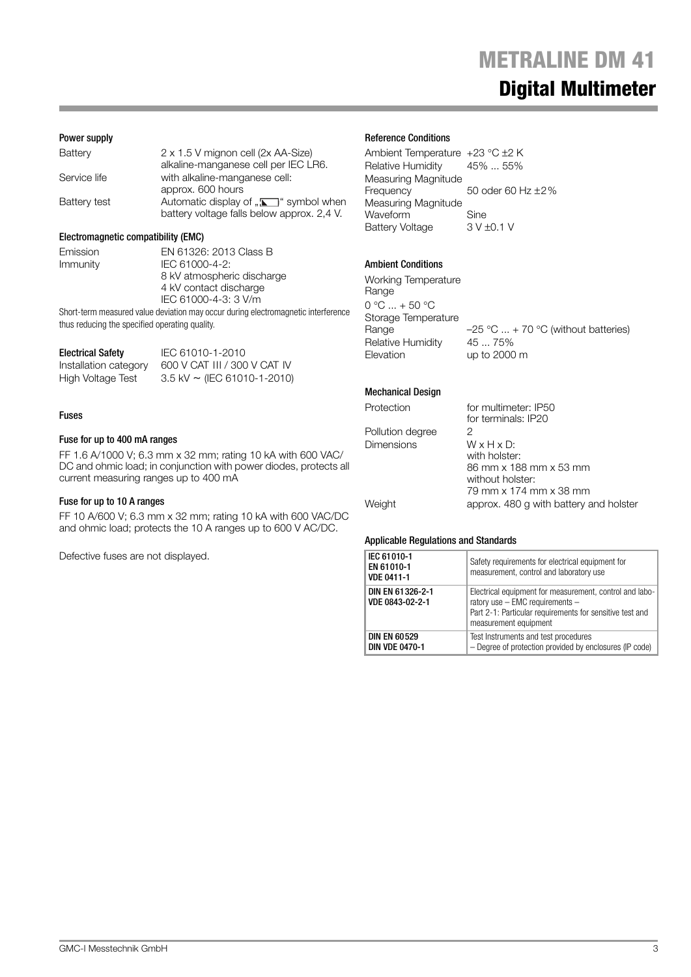# **METRALINE DM 41 METRALINE DM 41 Digital Multimeter**

## Power supply

| Battery      | 2 x 1.5 V mignon cell (2x AA-Size)<br>alkaline-manganese cell per IEC LR6.                |
|--------------|-------------------------------------------------------------------------------------------|
| Service life | with alkaline-manganese cell:<br>approx. 600 hours                                        |
| Battery test | Automatic display of " $\Box$ " symbol when<br>battery voltage falls below approx. 2,4 V. |

## Electromagnetic compatibility (EMC)

Emission EN 61326: 2013 Class B Immunity IEC 61000-4-2: 8 kV atmospheric discharge 4 kV contact discharge IEC 61000-4-3: 3 V/m

Short-term measured value deviation may occur during electromagnetic interference thus reducing the specified operating quality.

| <b>Electrical Safety</b> | IEC 61010-1-2010                   |
|--------------------------|------------------------------------|
| Installation category    | 600 V CAT III / 300 V CAT IV       |
| High Voltage Test        | $3.5$ kV $\sim$ (IEC 61010-1-2010) |

## Fuses

#### Fuse for up to 400 mA ranges

FF 1.6 A/1000 V; 6.3 mm x 32 mm; rating 10 kA with 600 VAC/ DC and ohmic load; in conjunction with power diodes, protects all current measuring ranges up to 400 mA

## Fuse for up to 10 A ranges

FF 10 A/600 V; 6.3 mm x 32 mm; rating 10 kA with 600 VAC/DC and ohmic load; protects the 10 A ranges up to 600 V AC/DC.

Defective fuses are not displayed.

#### Reference Conditions

Ambient Temperature +23 °C ±2 K Relative Humidity 45% ... 55% Measuring Magnitude Frequency 50 oder 60 Hz ±2% Measuring Magnitude Waveform Sine Battery Voltage 3 V ±0.1 V

## Ambient Conditions

Working Temperature Range 0 °C ... + 50 °C Storage Temperature<br>Range Relative Humidity 45 ... 75% Elevation up to 2000 m

 $-25$  °C  $...$  + 70 °C (without batteries)

## Mechanical Design

Protection for multimeter: IP50 for terminals: IP20 Pollution degree 2<br>Dimensions W x H x D: **Dimensions** with holster: 86 mm x 188 mm x 53 mm without holster: 79 mm x 174 mm x 38 mm Weight **approx.** 480 g with battery and holster

#### Applicable Regulations and Standards

| IEC 61010-1<br>EN 61010-1<br><b>VDE 0411-1</b> | Safety requirements for electrical equipment for<br>measurement, control and laboratory use                                                                                         |
|------------------------------------------------|-------------------------------------------------------------------------------------------------------------------------------------------------------------------------------------|
| DIN EN 61326-2-1<br>VDE 0843-02-2-1            | Electrical equipment for measurement, control and labo-<br>ratory use $-$ EMC requirements $-$<br>Part 2-1: Particular requirements for sensitive test and<br>measurement equipment |
| <b>DIN EN 60529</b><br><b>DIN VDE 0470-1</b>   | Test Instruments and test procedures<br>- Degree of protection provided by enclosures (IP code)                                                                                     |